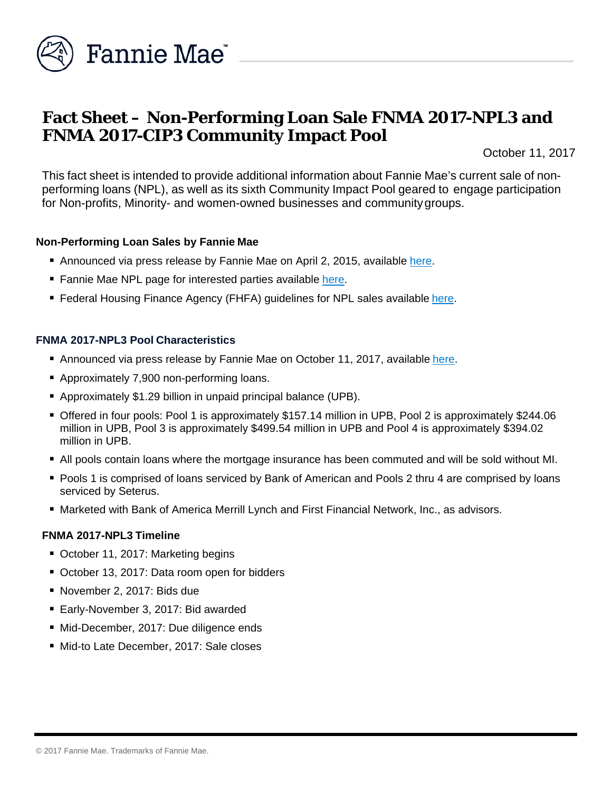

# **Fact Sheet – Non-Performing Loan Sale FNMA 2017-NPL3 and FNMA 2017-CIP3 Community Impact Pool**

October 11, 2017

This fact sheet is intended to provide additional information about Fannie Mae's current sale of nonperforming loans (NPL), as well as its sixth Community Impact Pool geared to engage participation for Non-profits, Minority- and women-owned businesses and communitygroups.

## **Non-Performing Loan Sales by Fannie Mae**

- Announced via press release by Fannie Mae on April 2, 2015, available [here.](http://www.fanniemae.com/portal/media/financial-news/2015/6233.html)
- Fannie Mae NPL page for interested parties available [here.](http://www.fanniemae.com/portal/funding-the-market/npl/index.html)
- **Federal Housing Finance Agency (FHFA) guidelines for NPL sales available [here.](http://www.fhfa.gov/Media/PublicAffairs/Pages/Non-Performing-Loan-%28NPL%29-Sale-Requirements.aspx)**

## **FNMA 2017-NPL3 Pool Characteristics**

- Announced via press release by Fannie Mae on October 11, 2017, available [here.](http://www.fanniemae.com/portal/media/financial-news/2017/nonperforming-loan-sale-6616.html)
- **Approximately 7,900 non-performing loans.**
- Approximately \$1.29 billion in unpaid principal balance (UPB).
- Offered in four pools: Pool 1 is approximately \$157.14 million in UPB, Pool 2 is approximately \$244.06 million in UPB, Pool 3 is approximately \$499.54 million in UPB and Pool 4 is approximately \$394.02 million in UPB.
- All pools contain loans where the mortgage insurance has been commuted and will be sold without MI.
- **Pools 1 is comprised of loans serviced by Bank of American and Pools 2 thru 4 are comprised by loans** serviced by Seterus.
- Marketed with Bank of America Merrill Lynch and First Financial Network, Inc., as advisors.

#### **FNMA 2017-NPL3 Timeline**

- October 11, 2017: Marketing begins
- October 13, 2017: Data room open for bidders
- November 2, 2017: Bids due
- Early-November 3, 2017: Bid awarded
- Mid-December, 2017: Due diligence ends
- Mid-to Late December, 2017: Sale closes